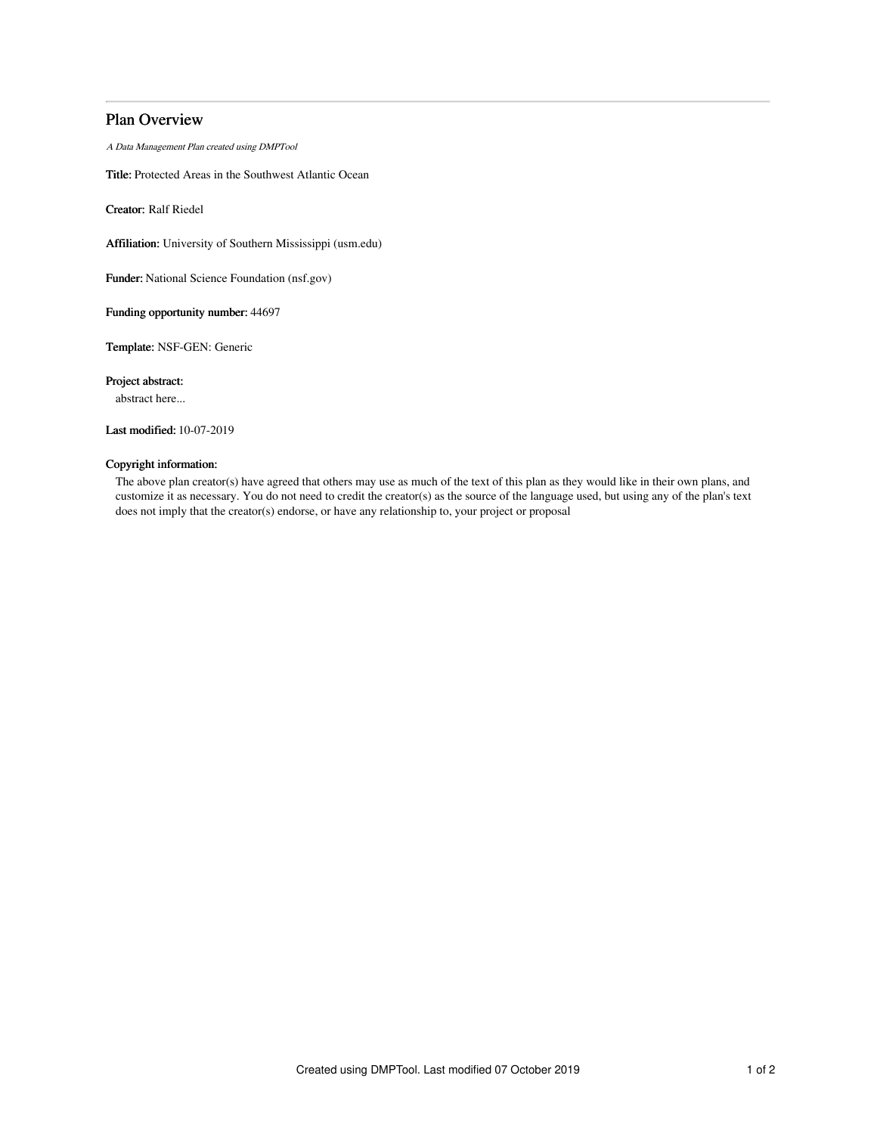# Plan Overview

A Data Management Plan created using DMPTool

Title: Protected Areas in the Southwest Atlantic Ocean

Creator: Ralf Riedel

Affiliation: University of Southern Mississippi (usm.edu)

Funder: National Science Foundation (nsf.gov)

Funding opportunity number: 44697

Template: NSF-GEN: Generic

Project abstract:

abstract here...

Last modified: 10-07-2019

## Copyright information:

The above plan creator(s) have agreed that others may use as much of the text of this plan as they would like in their own plans, and customize it as necessary. You do not need to credit the creator(s) as the source of the language used, but using any of the plan's text does not imply that the creator(s) endorse, or have any relationship to, your project or proposal